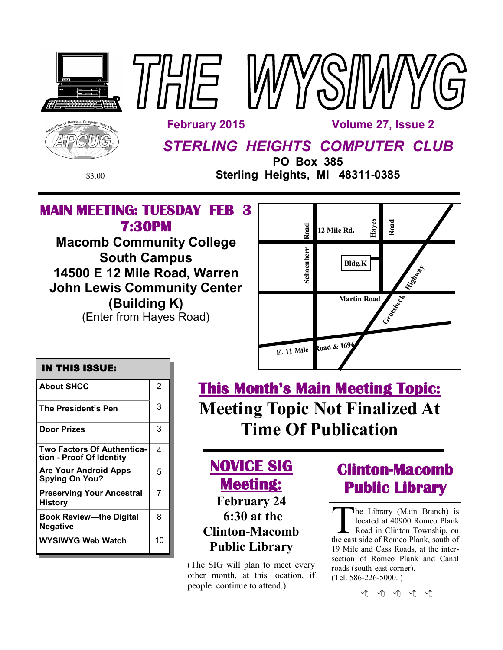





*STERLING HEIGHTS COMPUTER CLUB*

**PO Box 385** \$3.00 **Sterling Heights, MI 48311-0385**

# **MAIN MEETING: TUESDAY FEB 3 7:30PM**

**Macomb Community College South Campus 14500 E 12 Mile Road, Warren John Lewis Community Center (Building K)** (Enter from Hayes Road)



### **IN THIS ISSUE:**

| <b>About SHCC</b>                                             | 2  |
|---------------------------------------------------------------|----|
| The President's Pen                                           | 3  |
| <b>Door Prizes</b>                                            | 3  |
| <b>Two Factors Of Authentica-</b><br>tion - Proof Of Identity | 4  |
| Are Your Android Apps<br><b>Spying On You?</b>                | 5  |
| <b>Preserving Your Ancestral</b><br><b>History</b>            | 7  |
| Book Review—the Digital<br><b>Negative</b>                    | 8  |
| WYSIWYG Web Watch                                             | 10 |

**This Month's Main Meeting Topic: Meeting Topic Not Finalized At Time Of Publication**

# **NOVICE SIG Meeting: February 24 6:30 at the Clinton-Macomb Public Library**

(The SIG will plan to meet every other month, at this location, if people continue to attend.)

# **Clinton-Macomb Public Library**

The Library (Main Branch) is<br>located at 40900 Romeo Plank<br>Road in Clinton Township, on<br>the east side of Romeo Plank, south of he Library (Main Branch) is located at 40900 Romeo Plank Road in Clinton Township, on 19 Mile and Cass Roads, at the intersection of Romeo Plank and Canal roads (south-east corner). (Tel. 586-226-5000. )

有 有 有 有 有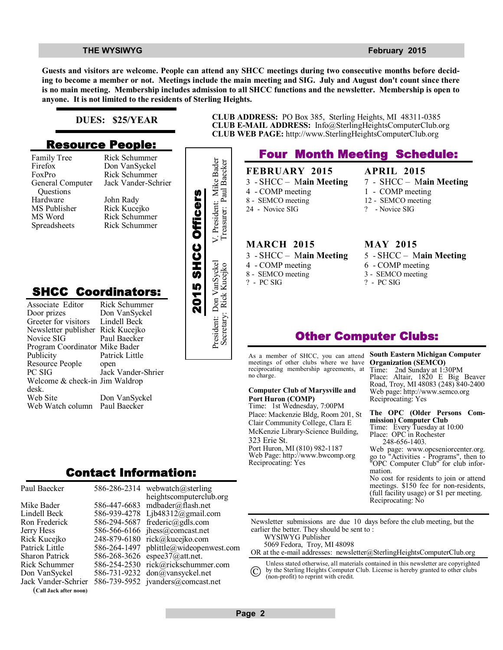#### **THE WYSIWYG** *CONSUMPTER SECTION CONSUMPTER AND LINE CONSUMPTER SECTION AND LINE CONSUMPTER SECTION AND LINE CONSUMPTER*

**Guests and visitors are welcome. People can attend any SHCC meetings during two consecutive months before deciding to become a member or not. Meetings include the main meeting and SIG. July and August don't count since there is no main meeting. Membership includes admission to all SHCC functions and the newsletter. Membership is open to anyone. It is not limited to the residents of Sterling Heights.**

### **DUES: \$25/YEAR**

### **Resource People:**

- Family Tree Firefox FoxPro General Computer Questions Hardware MS Publisher MS Word Spreadsheets
- Rick Schummer Don VanSyckel Rick Schummer Jack Vander-Schrier John Rady Rick Kucejko Rick Schummer

## **SHCC Coordinators:**

| гашну ттес<br>Firefox<br>FoxPro<br>General Computer<br>Questions<br>Hardware<br>MS Publisher<br>MS Word<br>Spreadsheets                                      | <b>INIUN DUTTUMILITEI</b><br>Don VanSyckel<br>Rick Schummer<br>Jack Vander-Schrier<br>John Rady<br>Rick Kucejko<br>Rick Schummer<br>Rick Schummer |                    | President: Mike Bader    |
|--------------------------------------------------------------------------------------------------------------------------------------------------------------|---------------------------------------------------------------------------------------------------------------------------------------------------|--------------------|--------------------------|
| <b>SHCC Coordinators:</b><br>Associate Editor<br>Door prizes<br>Greeter for visitors<br>Newsletter publisher<br>Novice SIG<br>Program Coordinator Mike Bader | Rick Schummer<br>Don VanSyckel<br>Lindell Beck<br>Rick Kucejko<br>Paul Baecker                                                                    | 2015 SHCC Officers | President: Don VanSyckel |
| Publicity<br>Resource People<br>PC SIG<br>Welcome & check-in Jim Waldrop<br>desk.<br>Web Site<br>Web Watch column                                            | Patrick Little<br>open<br>Jack Vander-Shrier<br>Don VanSyckel<br>Paul Baecker                                                                     |                    |                          |
|                                                                                                                                                              | Contact Information:                                                                                                                              |                    |                          |

| Paul Baecker           |              | 586-286-2314 webwatch@sterling    |
|------------------------|--------------|-----------------------------------|
|                        |              | heightscomputerclub.org           |
| Mike Bader             |              | 586-447-6683 mdbader@flash.net    |
| Lindell Beck           | 586-939-4278 | Ljb48312@gmail.com                |
| Ron Frederick          | 586-294-5687 | frederic@gdls.com                 |
| Jerry Hess             |              | 586-566-6166 jhess@comcast.net    |
| Rick Kucejko           | 248-879-6180 | rick@kucejko.com                  |
| Patrick Little         | 586-264-1497 | pblittle@wideopenwest.com         |
| <b>Sharon Patrick</b>  | 586-268-3626 | espee37@att.net.                  |
| <b>Rick Schummer</b>   | 586-254-2530 | rick@rickschummer.com             |
| Don VanSyckel          | 586-731-9232 | don@vansyckel.net                 |
| Jack Vander-Schrier    |              | 586-739-5952 jvanders@comcast.net |
| (Call Jack after noon) |              |                                   |



**CLUB ADDRESS:** PO Box 385, Sterling Heights, MI 48311-0385 **CLUB E-MAIL ADDRESS:** Info@SterlingHeightsComputerClub.org **CLUB WEB PAGE:** http://www.SterlingHeightsComputerClub.org

## **Four Month Meeting Schedule:**

**FEBRUARY 2015** 3 - SHCC – M**ain Meeting** 4 - COMP meeting 8 - SEMCO meeting 24 - Novice SIG

### **MARCH 2015**

- 3 SHCC M**ain Meeting** 4 - COMP meeting 8 - SEMCO meeting
- ? PC SIG

## **APRIL 2015**

- 7 SHCC M**ain Meeting**
- 1 COMP meeting
- 12 SEMCO meeting
- ? Novice SIG

#### **MAY 2015**

- 5 SHCC M**ain Meeting** 6 - COMP meeting
- 3 SEMCO meeting
- ? PC SIG

## **Other Computer Clubs:**

As a member of SHCC, you can attend meetings of other clubs where we have reciprocating membership agreements, at no charge.

#### **Computer Club of Marysville and Port Huron (COMP)**

Time: 1st Wednesday, 7:00PM Place: Mackenzie Bldg, Room 201, St Clair Community College, Clara E McKenzie Library-Science Building, 323 Erie St. Port Huron, MI (810) 982-1187 Web Page: http://www.bwcomp.org Reciprocating: Yes

#### **South Eastern Michigan Computer Organization (SEMCO)** Time: 2nd Sunday at 1:30PM Place: Altair, 1820 E Big Beaver

Road, Troy, MI 48083 (248) 840-2400 Web page: http://www.semco.org Reciprocating: Yes

#### **The OPC (Older Persons Commission) Computer Club**  Time: Every Tuesday at 10:00 Place: OPC in Rochester 248-656-1403.

Web page: www.opcseniorcenter.org. go to "Activities - Programs", then to "OPC Computer Club" for club information.

No cost for residents to join or attend meetings. \$150 fee for non-residents, (full facility usage) or \$1 per meeting. Reciprocating: No

Newsletter submissions are due 10 days before the club meeting, but the earlier the better. They should be sent to : WYSIWYG Publisher

5069 Fedora, Troy, MI 48098

OR at the e-mail addresses: newsletter@SterlingHeightsComputerClub.org

Unless stated otherwise, all materials contained in this newsletter are copyrighted by the Sterling Heights Computer Club. License is hereby granted to other clubs

(non-profit) to reprint with credit.  $\rm (C)$ 

**Page 2**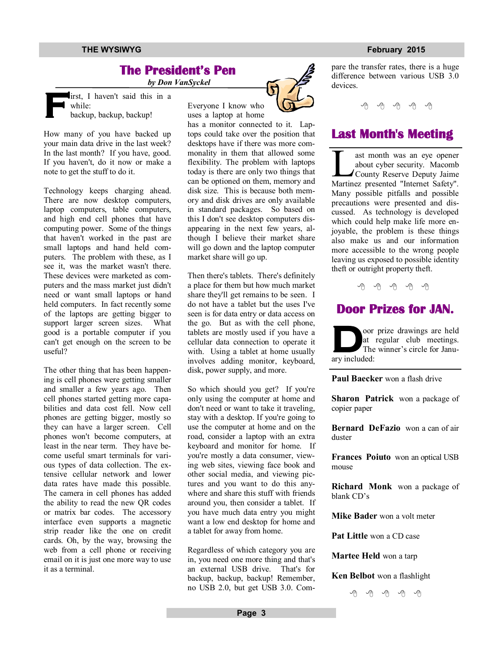#### **THE WYSIWYG FEBRUARY CONSULTER STATES AND THE WYSIWYG FEBRUARY 2015**

## **The President's Pen**

 *by Don VanSyckel*

**F** irst, I haven't said this in a while: backup, backup, backup!

How many of you have backed up your main data drive in the last week? In the last month? If you have, good. If you haven't, do it now or make a note to get the stuff to do it.

Technology keeps charging ahead. There are now desktop computers, laptop computers, table computers, and high end cell phones that have computing power. Some of the things that haven't worked in the past are small laptops and hand held computers. The problem with these, as I see it, was the market wasn't there. These devices were marketed as computers and the mass market just didn't need or want small laptops or hand held computers. In fact recently some of the laptops are getting bigger to support larger screen sizes. What good is a portable computer if you can't get enough on the screen to be useful?

The other thing that has been happening is cell phones were getting smaller and smaller a few years ago. Then cell phones started getting more capabilities and data cost fell. Now cell phones are getting bigger, mostly so they can have a larger screen. Cell phones won't become computers, at least in the near term. They have become useful smart terminals for various types of data collection. The extensive cellular network and lower data rates have made this possible. The camera in cell phones has added the ability to read the new QR codes or matrix bar codes. The accessory interface even supports a magnetic strip reader like the one on credit cards. Oh, by the way, browsing the web from a cell phone or receiving email on it is just one more way to use it as a terminal.

Everyone I know who

uses a laptop at home

has a monitor connected to it. Laptops could take over the position that desktops have if there was more commonality in them that allowed some flexibility. The problem with laptops today is there are only two things that can be optioned on them, memory and disk size. This is because both memory and disk drives are only available in standard packages. So based on this I don't see desktop computers disappearing in the next few years, although I believe their market share will go down and the laptop computer market share will go up.

Then there's tablets. There's definitely a place for them but how much market share they'll get remains to be seen. I do not have a tablet but the uses I've seen is for data entry or data access on the go. But as with the cell phone, tablets are mostly used if you have a cellular data connection to operate it with. Using a tablet at home usually involves adding monitor, keyboard, disk, power supply, and more.

So which should you get? If you're only using the computer at home and don't need or want to take it traveling, stay with a desktop. If you're going to use the computer at home and on the road, consider a laptop with an extra keyboard and monitor for home. If you're mostly a data consumer, viewing web sites, viewing face book and other social media, and viewing pictures and you want to do this anywhere and share this stuff with friends around you, then consider a tablet. If you have much data entry you might want a low end desktop for home and a tablet for away from home.

Regardless of which category you are in, you need one more thing and that's an external USB drive. That's for backup, backup, backup! Remember, no USB 2.0, but get USB 3.0. Com-



pare the transfer rates, there is a huge difference between various USB 3.0 devices.

9 9 9 9 9

## **Last Month's Meeting**

ast month was an eye opener<br>about cyber security. Macomb<br>County Reserve Deputy Jaime<br>Martinez presented "Internet Safety". ast month was an eye opener about cyber security. Macomb County Reserve Deputy Jaime Many possible pitfalls and possible precautions were presented and discussed. As technology is developed which could help make life more enjoyable, the problem is these things also make us and our information more accessible to the wrong people leaving us exposed to possible identity theft or outright property theft.

一个 一个 一个

## **Door Prizes for JAN.**

**D** oor prize drawings are held at regular club meetings. The winner's circle for January included:

**Paul Baecker** won a flash drive

**Sharon Patrick** won a package of copier paper

**Bernard DeFazio** won a can of air duster

**Frances Poiuto** won an optical USB mouse

**Richard Monk** won a package of blank CD's

**Mike Bader** won a volt meter

**Pat Little** won a CD case

**Martee Held** won a tarp

**Ken Belbot** won a flashlight

平 平 平 平 平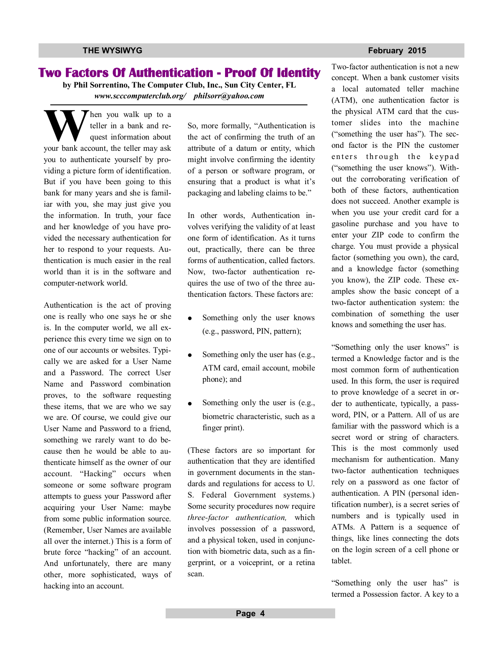### **Two Factors Of Authentication - Proof Of Identity**

**by Phil Sorrentino, The Computer Club, Inc., Sun City Center, FL** *www.scccomputerclub.org/ philsorr@yahoo.com*

W teller in a bank and request information about your bank account, the teller may ask hen you walk up to a teller in a bank and request information about you to authenticate yourself by providing a picture form of identification. But if you have been going to this bank for many years and she is familiar with you, she may just give you the information. In truth, your face and her knowledge of you have provided the necessary authentication for her to respond to your requests. Authentication is much easier in the real world than it is in the software and computer-network world.

Authentication is the act of proving one is really who one says he or she is. In the computer world, we all experience this every time we sign on to one of our accounts or websites. Typically we are asked for a User Name and a Password. The correct User Name and Password combination proves, to the software requesting these items, that we are who we say we are. Of course, we could give our User Name and Password to a friend, something we rarely want to do because then he would be able to authenticate himself as the owner of our account. "Hacking" occurs when someone or some software program attempts to guess your Password after acquiring your User Name: maybe from some public information source. (Remember, User Names are available all over the internet.) This is a form of brute force "hacking" of an account. And unfortunately, there are many other, more sophisticated, ways of hacking into an account.

So, more formally, "Authentication is the act of confirming the truth of an attribute of a datum or entity, which might involve confirming the identity of a person or software program, or ensuring that a product is what it's packaging and labeling claims to be."

In other words, Authentication involves verifying the validity of at least one form of identification. As it turns out, practically, there can be three forms of authentication, called factors. Now, two-factor authentication requires the use of two of the three authentication factors. These factors are:

- Something only the user knows (e.g., password, PIN, pattern);
- Something only the user has (e.g., ATM card, email account, mobile phone); and
- Something only the user is (e.g., biometric characteristic, such as a finger print).

(These factors are so important for authentication that they are identified in government documents in the standards and regulations for access to U. S. Federal Government systems.) Some security procedures now require *three-factor authentication,* which involves possession of a password, and a physical token, used in conjunction with biometric data, such as a fingerprint, or a voiceprint, or a retina scan.

**THE WYSIWYG FEBRUARY CONSULTER STATES AND THE WYSIWYG FEBRUARY 2015** 

Two-factor authentication is not a new concept. When a bank customer visits a local automated teller machine (ATM), one authentication factor is the physical ATM card that the customer slides into the machine ("something the user has"). The second factor is the PIN the customer enters through the keypad ("something the user knows"). Without the corroborating verification of both of these factors, authentication does not succeed. Another example is when you use your credit card for a gasoline purchase and you have to enter your ZIP code to confirm the charge. You must provide a physical factor (something you own), the card, and a knowledge factor (something you know), the ZIP code. These examples show the basic concept of a two-factor authentication system: the combination of something the user knows and something the user has.

"Something only the user knows" is termed a Knowledge factor and is the most common form of authentication used. In this form, the user is required to prove knowledge of a secret in order to authenticate, typically, a password, PIN, or a Pattern. All of us are familiar with the password which is a secret word or string of characters. This is the most commonly used mechanism for authentication. Many two-factor authentication techniques rely on a password as one factor of authentication. A PIN (personal identification number), is a secret series of numbers and is typically used in ATMs. A Pattern is a sequence of things, like lines connecting the dots on the login screen of a cell phone or tablet.

"Something only the user has" is termed a Possession factor. A key to a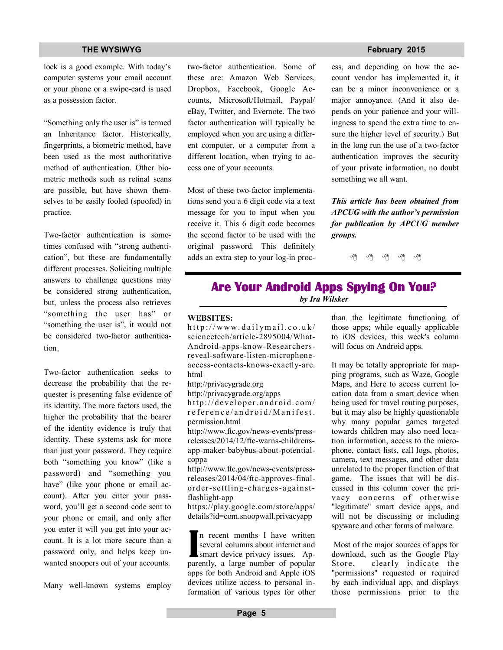### **THE WYSIWYG FEBRUARY CONSULTER STATES AND THE WYSIWYG FEBRUARY 2015**

lock is a good example. With today's computer systems your email account or your phone or a swipe-card is used as a possession factor.

"Something only the user is" is termed an Inheritance factor. Historically, fingerprints, a biometric method, have been used as the most authoritative method of authentication. Other biometric methods such as retinal scans are possible, but have shown themselves to be easily fooled (spoofed) in practice.

Two-factor authentication is sometimes confused with "strong authentication", but these are fundamentally different processes. Soliciting multiple answers to challenge questions may be considered strong authentication, but, unless the process also retrieves "something the user has" or "something the user is", it would not be considered two-factor authentication.

Two-factor authentication seeks to decrease the probability that the requester is presenting false evidence of its identity. The more factors used, the higher the probability that the bearer of the identity evidence is truly that identity. These systems ask for more than just your password. They require both "something you know" (like a password) and "something you have" (like your phone or email account). After you enter your password, you'll get a second code sent to your phone or email, and only after you enter it will you get into your account. It is a lot more secure than a password only, and helps keep unwanted snoopers out of your accounts.

Many well-known systems employ

two-factor authentication. Some of these are: Amazon Web Services, Dropbox, Facebook, Google Accounts, Microsoft/Hotmail, Paypal/ eBay, Twitter, and Evernote. The two factor authentication will typically be employed when you are using a different computer, or a computer from a different location, when trying to access one of your accounts.

Most of these two-factor implementations send you a 6 digit code via a text message for you to input when you receive it. This 6 digit code becomes the second factor to be used with the original password. This definitely adds an extra step to your log-in proc-

ess, and depending on how the account vendor has implemented it, it can be a minor inconvenience or a major annoyance. (And it also depends on your patience and your willingness to spend the extra time to ensure the higher level of security.) But in the long run the use of a two-factor authentication improves the security of your private information, no doubt something we all want.

*This article has been obtained from APCUG with the author's permission for publication by APCUG member groups.*

西 西 西

## **Are Your Android Apps Spying On You?**  *by Ira Wilsker*

#### **WEBSITES:**

 $http://www.dailymail.co.uk/$ sciencetech/article-2895004/What-Android-apps-know-Researchersreveal-software-listen-microphoneaccess-contacts-knows-exactly-are. html

http://privacygrade.org

http://privacygrade.org/apps

http://developer.android.com/ r e f e r e n c e / a n d r o i d / M a n i f e s t. permission.html

http://www.ftc.gov/news-events/pressreleases/2014/12/ftc-warns-childrensapp-maker-babybus-about-potentialcoppa

http://www.ftc.gov/news-events/pressreleases/2014/04/ftc-approves-finalorder-settling- charges-againstflashlight-app

https://play.google.com/store/apps/ details?id=com.snoopwall.privacyapp

**I** n recent months I have written several columns about internet and smart device privacy issues. Apparently, a large number of popular apps for both Android and Apple iOS devices utilize access to personal information of various types for other

than the legitimate functioning of those apps; while equally applicable to iOS devices, this week's column will focus on Android apps.

It may be totally appropriate for mapping programs, such as Waze, Google Maps, and Here to access current location data from a smart device when being used for travel routing purposes, but it may also be highly questionable why many popular games targeted towards children may also need location information, access to the microphone, contact lists, call logs, photos, camera, text messages, and other data unrelated to the proper function of that game. The issues that will be discussed in this column cover the privacy concerns of otherwise "legitimate" smart device apps, and will not be discussing or including spyware and other forms of malware.

 Most of the major sources of apps for download, such as the Google Play Store, clearly indicate the "permissions" requested or required by each individual app, and displays those permissions prior to the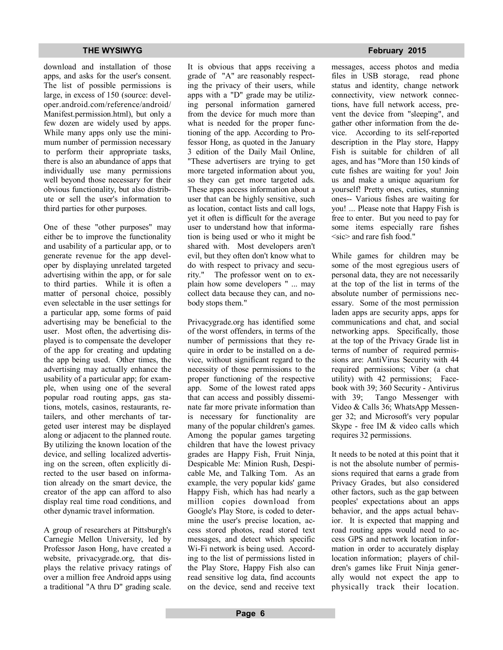#### **THE WYSIWYG FEBRUARY CONSULTER STATES AND THE WYSIWYG FEBRUARY 2015**

download and installation of those apps, and asks for the user's consent. The list of possible permissions is large, in excess of 150 (source: developer.android.com/reference/android/ Manifest.permission.html), but only a few dozen are widely used by apps. While many apps only use the minimum number of permission necessary to perform their appropriate tasks, there is also an abundance of apps that individually use many permissions well beyond those necessary for their obvious functionality, but also distribute or sell the user's information to third parties for other purposes.

One of these "other purposes" may either be to improve the functionality and usability of a particular app, or to generate revenue for the app developer by displaying unrelated targeted advertising within the app, or for sale to third parties. While it is often a matter of personal choice, possibly even selectable in the user settings for a particular app, some forms of paid advertising may be beneficial to the user. Most often, the advertising displayed is to compensate the developer of the app for creating and updating the app being used. Other times, the advertising may actually enhance the usability of a particular app; for example, when using one of the several popular road routing apps, gas stations, motels, casinos, restaurants, retailers, and other merchants of targeted user interest may be displayed along or adjacent to the planned route. By utilizing the known location of the device, and selling localized advertising on the screen, often explicitly directed to the user based on information already on the smart device, the creator of the app can afford to also display real time road conditions, and other dynamic travel information.

A group of researchers at Pittsburgh's Carnegie Mellon University, led by Professor Jason Hong, have created a website, privacygrade.org, that displays the relative privacy ratings of over a million free Android apps using a traditional "A thru D" grading scale.

It is obvious that apps receiving a grade of "A" are reasonably respecting the privacy of their users, while apps with a "D" grade may be utilizing personal information garnered from the device for much more than what is needed for the proper functioning of the app. According to Professor Hong, as quoted in the January 3 edition of the Daily Mail Online, "These advertisers are trying to get more targeted information about you, so they can get more targeted ads. These apps access information about a user that can be highly sensitive, such as location, contact lists and call logs, yet it often is difficult for the average user to understand how that information is being used or who it might be shared with. Most developers aren't evil, but they often don't know what to do with respect to privacy and security." The professor went on to explain how some developers " ... may collect data because they can, and nobody stops them."

Privacygrade.org has identified some of the worst offenders, in terms of the number of permissions that they require in order to be installed on a device, without significant regard to the necessity of those permissions to the proper functioning of the respective app. Some of the lowest rated apps that can access and possibly disseminate far more private information than is necessary for functionality are many of the popular children's games. Among the popular games targeting children that have the lowest privacy grades are Happy Fish, Fruit Ninja, Despicable Me: Minion Rush, Despicable Me, and Talking Tom. As an example, the very popular kids' game Happy Fish, which has had nearly a million copies download from Google's Play Store, is coded to determine the user's precise location, access stored photos, read stored text messages, and detect which specific Wi-Fi network is being used. According to the list of permissions listed in the Play Store, Happy Fish also can read sensitive log data, find accounts on the device, send and receive text

messages, access photos and media files in USB storage, read phone status and identity, change network connectivity, view network connections, have full network access, prevent the device from "sleeping", and gather other information from the device. According to its self-reported description in the Play store, Happy Fish is suitable for children of all ages, and has "More than 150 kinds of cute fishes are waiting for you! Join us and make a unique aquarium for yourself! Pretty ones, cuties, stunning ones-- Various fishes are waiting for you! ... Please note that Happy Fish is free to enter. But you need to pay for some items especially rare fishes  $\langle$ sic $\rangle$  and rare fish food."

While games for children may be some of the most egregious users of personal data, they are not necessarily at the top of the list in terms of the absolute number of permissions necessary. Some of the most permission laden apps are security apps, apps for communications and chat, and social networking apps. Specifically, those at the top of the Privacy Grade list in terms of number of required permissions are: AntiVirus Security with 44 required permissions; Viber (a chat utility) with 42 permissions; Facebook with 39; 360 Security - Antivirus with 39; Tango Messenger with Video & Calls 36; WhatsApp Messenger 32; and Microsoft's very popular Skype - free IM & video calls which requires 32 permissions.

It needs to be noted at this point that it is not the absolute number of permissions required that earns a grade from Privacy Grades, but also considered other factors, such as the gap between peoples' expectations about an apps behavior, and the apps actual behavior. It is expected that mapping and road routing apps would need to access GPS and network location information in order to accurately display location information; players of children's games like Fruit Ninja generally would not expect the app to physically track their location.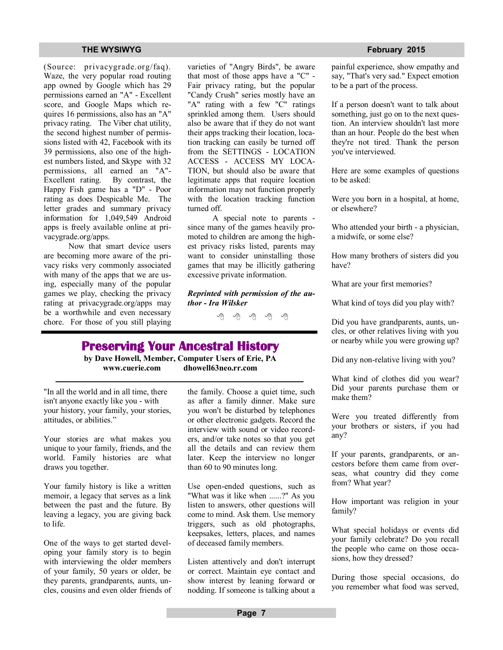(Source: privacygrade.org/faq). Waze, the very popular road routing app owned by Google which has 29 permissions earned an "A" - Excellent score, and Google Maps which requires 16 permissions, also has an "A" privacy rating. The Viber chat utility, the second highest number of permissions listed with 42, Facebook with its 39 permissions, also one of the highest numbers listed, and Skype with 32 permissions, all earned an "A"- Excellent rating. By contrast, the Happy Fish game has a "D" - Poor rating as does Despicable Me. The letter grades and summary privacy information for 1,049,549 Android apps is freely available online at privacygrade.org/apps.

 Now that smart device users are becoming more aware of the privacy risks very commonly associated with many of the apps that we are using, especially many of the popular games we play, checking the privacy rating at privacygrade.org/apps may be a worthwhile and even necessary chore. For those of you still playing varieties of "Angry Birds", be aware that most of those apps have a "C" - Fair privacy rating, but the popular "Candy Crush" series mostly have an "A" rating with a few "C" ratings sprinkled among them. Users should also be aware that if they do not want their apps tracking their location, location tracking can easily be turned off from the SETTINGS - LOCATION ACCESS - ACCESS MY LOCA-TION, but should also be aware that legitimate apps that require location information may not function properly with the location tracking function turned off.

 A special note to parents since many of the games heavily promoted to children are among the highest privacy risks listed, parents may want to consider uninstalling those games that may be illicitly gathering excessive private information.

*Reprinted with permission of the author - Ira Wilsker*

中 丹 伯 伯 伯

## **Preserving Your Ancestral History**

**by Dave Howell, Member, Computer Users of Erie, PA www.cuerie.com dhowell63neo.rr.com**

"In all the world and in all time, there isn't anyone exactly like you - with your history, your family, your stories, attitudes, or abilities."

Your stories are what makes you unique to your family, friends, and the world. Family histories are what draws you together.

Your family history is like a written memoir, a legacy that serves as a link between the past and the future. By leaving a legacy, you are giving back to life.

One of the ways to get started developing your family story is to begin with interviewing the older members of your family, 50 years or older, be they parents, grandparents, aunts, uncles, cousins and even older friends of the family. Choose a quiet time, such as after a family dinner. Make sure you won't be disturbed by telephones or other electronic gadgets. Record the interview with sound or video recorders, and/or take notes so that you get all the details and can review them later. Keep the interview no longer than 60 to 90 minutes long.

Use open-ended questions, such as "What was it like when ......?" As you listen to answers, other questions will come to mind. Ask them. Use memory triggers, such as old photographs, keepsakes, letters, places, and names of deceased family members.

Listen attentively and don't interrupt or correct. Maintain eye contact and show interest by leaning forward or nodding. If someone is talking about a

#### **THE WYSIWYG FEBRUARY CONSULTER STATES AND THE WYSIWYG FEBRUARY 2015**

painful experience, show empathy and say, "That's very sad." Expect emotion to be a part of the process.

If a person doesn't want to talk about something, just go on to the next question. An interview shouldn't last more than an hour. People do the best when they're not tired. Thank the person you've interviewed.

Here are some examples of questions to be asked:

Were you born in a hospital, at home, or elsewhere?

Who attended your birth - a physician, a midwife, or some else?

How many brothers of sisters did you have?

What are your first memories?

What kind of toys did you play with?

Did you have grandparents, aunts, uncles, or other relatives living with you or nearby while you were growing up?

Did any non-relative living with you?

What kind of clothes did you wear? Did your parents purchase them or make them?

Were you treated differently from your brothers or sisters, if you had any?

If your parents, grandparents, or ancestors before them came from overseas, what country did they come from? What year?

How important was religion in your family?

What special holidays or events did your family celebrate? Do you recall the people who came on those occasions, how they dressed?

During those special occasions, do you remember what food was served,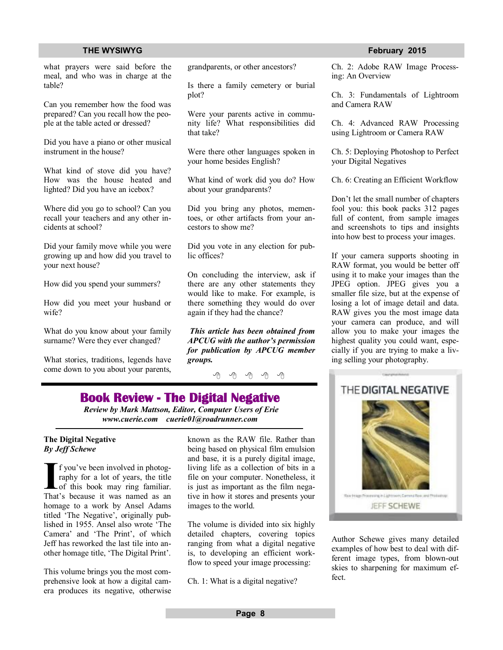#### **THE WYSIWYG FEBRUARY CONSUMING FEBRUARY 2015**

what prayers were said before the meal, and who was in charge at the table?

Can you remember how the food was prepared? Can you recall how the people at the table acted or dressed?

Did you have a piano or other musical instrument in the house?

What kind of stove did you have? How was the house heated and lighted? Did you have an icebox?

Where did you go to school? Can you recall your teachers and any other incidents at school?

Did your family move while you were growing up and how did you travel to your next house?

How did you spend your summers?

How did you meet your husband or wife?

What do you know about your family surname? Were they ever changed?

What stories, traditions, legends have come down to you about your parents,

grandparents, or other ancestors?

Is there a family cemetery or burial plot?

Were your parents active in community life? What responsibilities did that take?

Were there other languages spoken in your home besides English?

What kind of work did you do? How about your grandparents?

Did you bring any photos, mementoes, or other artifacts from your ancestors to show me?

Did you vote in any election for public offices?

On concluding the interview, ask if there are any other statements they would like to make. For example, is there something they would do over again if they had the chance?

*This article has been obtained from APCUG with the author's permission for publication by APCUG member groups.*

9 9 9 9 9

### **Book Review - The Digital Negative**

*Review by Mark Mattson, Editor, Computer Users of Erie www.cuerie.com cuerie01@roadrunner.com*

#### **The Digital Negative** *By Jeff Schewe*

**I** f you've been involved in photography for a lot of years, the title of this book may ring familiar.<br>That's because it was named as an f you've been involved in photography for a lot of years, the title Lof this book may ring familiar. homage to a work by Ansel Adams titled 'The Negative', originally published in 1955. Ansel also wrote 'The Camera' and 'The Print', of which Jeff has reworked the last tile into another homage title, 'The Digital Print'.

This volume brings you the most comprehensive look at how a digital camera produces its negative, otherwise known as the RAW file. Rather than being based on physical film emulsion and base, it is a purely digital image, living life as a collection of bits in a file on your computer. Nonetheless, it is just as important as the film negative in how it stores and presents your images to the world.

The volume is divided into six highly detailed chapters, covering topics ranging from what a digital negative is, to developing an efficient workflow to speed your image processing:

Ch. 1: What is a digital negative?

Ch. 2: Adobe RAW Image Processing: An Overview

Ch. 3: Fundamentals of Lightroom and Camera RAW

Ch. 4: Advanced RAW Processing using Lightroom or Camera RAW

Ch. 5: Deploying Photoshop to Perfect your Digital Negatives

Ch. 6: Creating an Efficient Workflow

Don't let the small number of chapters fool you: this book packs 312 pages full of content, from sample images and screenshots to tips and insights into how best to process your images.

If your camera supports shooting in RAW format, you would be better off using it to make your images than the JPEG option. JPEG gives you a smaller file size, but at the expense of losing a lot of image detail and data. RAW gives you the most image data your camera can produce, and will allow you to make your images the highest quality you could want, especially if you are trying to make a living selling your photography.



Author Schewe gives many detailed examples of how best to deal with different image types, from blown-out skies to sharpening for maximum effect.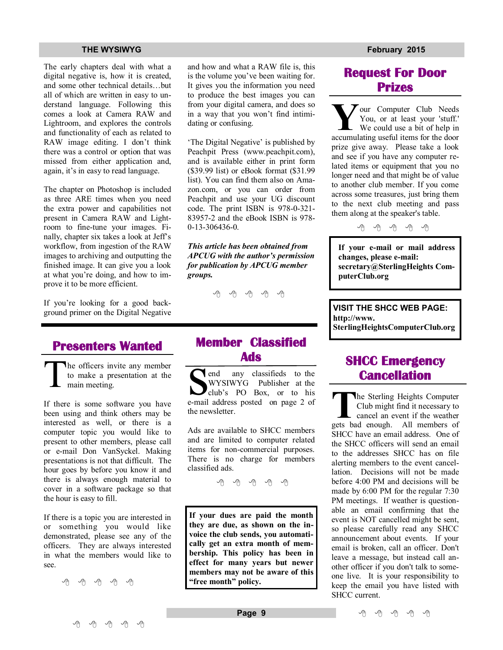The early chapters deal with what a digital negative is, how it is created, and some other technical details…but all of which are written in easy to understand language. Following this comes a look at Camera RAW and Lightroom, and explores the controls and functionality of each as related to RAW image editing. I don't think there was a control or option that was missed from either application and, again, it's in easy to read language.

The chapter on Photoshop is included as three ARE times when you need the extra power and capabilities not present in Camera RAW and Lightroom to fine-tune your images. Finally, chapter six takes a look at Jeff's workflow, from ingestion of the RAW images to archiving and outputting the finished image. It can give you a look at what you're doing, and how to improve it to be more efficient.

If you're looking for a good background primer on the Digital Negative

## **Presenters Wanted**

T he officers invite any member to make a presentation at the main meeting.

If there is some software you have been using and think others may be interested as well, or there is a computer topic you would like to present to other members, please call or e-mail Don VanSyckel. Making presentations is not that difficult. The hour goes by before you know it and there is always enough material to cover in a software package so that the hour is easy to fill.

If there is a topic you are interested in or something you would like demonstrated, please see any of the officers. They are always interested in what the members would like to see.

中 中 中 中 中

and how and what a RAW file is, this is the volume you've been waiting for. It gives you the information you need to produce the best images you can from your digital camera, and does so in a way that you won't find intimidating or confusing.

'The Digital Negative' is published by Peachpit Press (www.peachpit.com), and is available either in print form (\$39.99 list) or eBook format (\$31.99 list). You can find them also on Amazon.com, or you can order from Peachpit and use your UG discount code. The print ISBN is 978-0-321- 83957-2 and the eBook ISBN is 978- 0-13-306436-0.

*This article has been obtained from APCUG with the author's permission for publication by APCUG member groups.*

中 丹 丹 丹 丹

## **Member Classified Ads**

**Ads**<br> **S** end any classifieds to the<br>
WYSIWYG Publisher at the<br>
club's PO Box, or to his<br>
e-mail address posted on page 2 of end any classifieds to the WYSIWYG Publisher at the club's PO Box, or to his the newsletter.

Ads are available to SHCC members and are limited to computer related items for non-commercial purposes. There is no charge for members classified ads.

平 平 平 平 平

**If your dues are paid the month they are due, as shown on the invoice the club sends, you automatically get an extra month of membership. This policy has been in effect for many years but newer members may not be aware of this "free month" policy.**

## **Request For Door Prizes**

**Y**accumulating useful items for the door<br>
accumulating useful items for the door  $\sum$  our Computer Club Needs You, or at least your 'stuff.' We could use a bit of help in prize give away. Please take a look and see if you have any computer related items or equipment that you no longer need and that might be of value to another club member. If you come across some treasures, just bring them to the next club meeting and pass them along at the speaker's table.

中 中 中 中 中

**If your e-mail or mail address changes, please e-mail: secretary@SterlingHeights ComputerClub.org**

**VISIT THE SHCC WEB PAGE: http://www. SterlingHeightsComputerClub.org**

## **SHCC Emergency Cancellation**

 **The Sterling Heights Computer Club might find it necessary to cancel an event if the weather gets bad enough. All members of** he Sterling Heights Computer Club might find it necessary to cancel an event if the weather SHCC have an email address. One of the SHCC officers will send an email to the addresses SHCC has on file alerting members to the event cancellation. Decisions will not be made before 4:00 PM and decisions will be made by 6:00 PM for the regular 7:30 PM meetings. If weather is questionable an email confirming that the event is NOT cancelled might be sent, so please carefully read any SHCC announcement about events. If your email is broken, call an officer. Don't leave a message, but instead call another officer if you don't talk to someone live. It is your responsibility to keep the email you have listed with SHCC current.